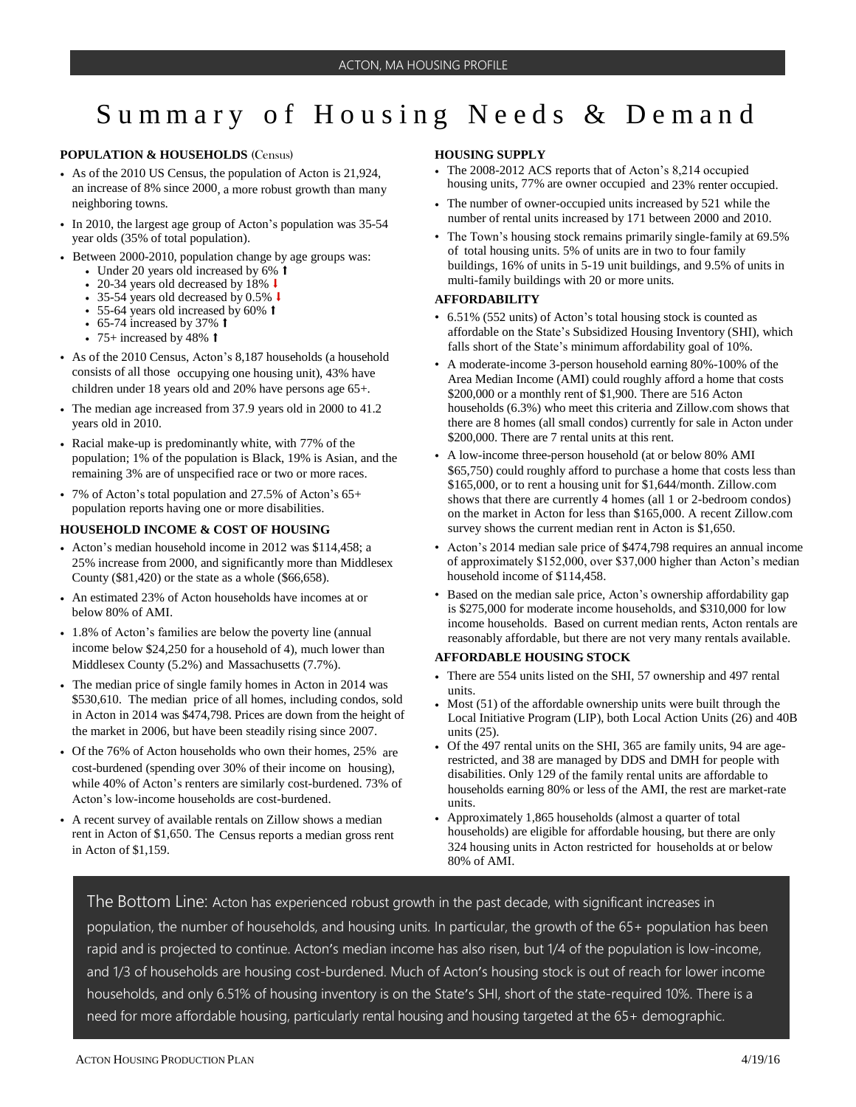# Summary of Housing Needs & Demand

## **POPULATION & HOUSEHOLDS** (Census)

- As of the 2010 US Census, the population of Acton is 21,924, an increase of 8% since 2000, a more robust growth than many neighboring towns.
- In 2010, the largest age group of Acton's population was 35-54 year olds (35% of total population).
- Between 2000-2010, population change by age groups was:
	- Under 20 years old increased by 6% <sup>↑</sup>
	- 20-34 years old decreased by 18%  $\downarrow$
	- 35-54 years old decreased by 0.5% ↓
	- 55-64 years old increased by 60% <sup>↑</sup>
	- 65-74 increased by 37% **t**
	- 75+ increased by 48%  $\dagger$
- As of the 2010 Census, Acton's 8,187 households (a household consists of all those occupying one housing unit), 43% have children under 18 years old and 20% have persons age 65+.
- The median age increased from 37.9 years old in 2000 to 41.2 years old in 2010.
- Racial make-up is predominantly white, with 77% of the population; 1% of the population is Black, 19% is Asian, and the remaining 3% are of unspecified race or two or more races.
- 7% of Acton's total population and 27.5% of Acton's 65+ population reports having one or more disabilities.

#### **HOUSEHOLD INCOME & COST OF HOUSING**

- Acton's median household income in 2012 was \$114,458; a 25% increase from 2000, and significantly more than Middlesex County (\$81,420) or the state as a whole (\$66,658).
- An estimated 23% of Acton households have incomes at or below 80% of AMI.
- 1.8% of Acton's families are below the poverty line (annual income below \$24,250 for a household of 4), much lower than Middlesex County (5.2%) and Massachusetts (7.7%).
- The median price of single family homes in Acton in 2014 was \$530,610. The median price of all homes, including condos, sold in Acton in 2014 was \$474,798. Prices are down from the height of the market in 2006, but have been steadily rising since 2007.
- Of the 76% of Acton households who own their homes, 25% are cost-burdened (spending over 30% of their income on housing), while 40% of Acton's renters are similarly cost-burdened. 73% of Acton's low-income households are cost-burdened.
- A recent survey of available rentals on Zillow shows a median rent in Acton of \$1,650. The Census reports a median gross rent in Acton of \$1,159.

#### **HOUSING SUPPLY**

- The 2008-2012 ACS reports that of Acton's 8,214 occupied housing units, 77% are owner occupied and 23% renter occupied.
- The number of owner-occupied units increased by 521 while the number of rental units increased by 171 between 2000 and 2010.
- The Town's housing stock remains primarily single-family at 69.5% of total housing units. 5% of units are in two to four family buildings, 16% of units in 5-19 unit buildings, and 9.5% of units in multi-family buildings with 20 or more units.

## **AFFORDABILITY**

- 6.51% (552 units) of Acton's total housing stock is counted as affordable on the State's Subsidized Housing Inventory (SHI), which falls short of the State's minimum affordability goal of 10%.
- A moderate-income 3-person household earning 80%-100% of the Area Median Income (AMI) could roughly afford a home that costs \$200,000 or a monthly rent of \$1,900. There are 516 Acton households (6.3%) who meet this criteria and Zillow.com shows that there are 8 homes (all small condos) currently for sale in Acton under \$200,000. There are 7 rental units at this rent.
- A low-income three-person household (at or below 80% AMI \$65,750) could roughly afford to purchase a home that costs less than \$165,000, or to rent a housing unit for \$1,644/month. Zillow.com shows that there are currently 4 homes (all 1 or 2-bedroom condos) on the market in Acton for less than \$165,000. A recent Zillow.com survey shows the current median rent in Acton is \$1,650.
- Acton's 2014 median sale price of \$474,798 requires an annual income of approximately \$152,000, over \$37,000 higher than Acton's median household income of \$114,458.
- Based on the median sale price, Acton's ownership affordability gap is \$275,000 for moderate income households, and \$310,000 for low income households. Based on current median rents, Acton rentals are reasonably affordable, but there are not very many rentals available.

### **AFFORDABLE HOUSING STOCK**

- There are 554 units listed on the SHI, 57 ownership and 497 rental units.
- Most (51) of the affordable ownership units were built through the Local Initiative Program (LIP), both Local Action Units (26) and 40B units (25).
- Of the 497 rental units on the SHI, 365 are family units, 94 are agerestricted, and 38 are managed by DDS and DMH for people with disabilities. Only 129 of the family rental units are affordable to households earning 80% or less of the AMI, the rest are market-rate units.
- Approximately 1,865 households (almost a quarter of total households) are eligible for affordable housing, but there are only 324 housing units in Acton restricted for households at or below 80% of AMI.

The Bottom Line: Acton has experienced robust growth in the past decade, with significant increases in population, the number of households, and housing units. In particular, the growth of the 65+ population has been rapid and is projected to continue. Acton's median income has also risen, but 1/4 of the population is low-income, and 1/3 of households are housing cost-burdened. Much of Acton's housing stock is out of reach for lower income households, and only 6.51% of housing inventory is on the State's SHI, short of the state-required 10%. There is a need for more affordable housing, particularly rental housing and housing targeted at the 65+ demographic.